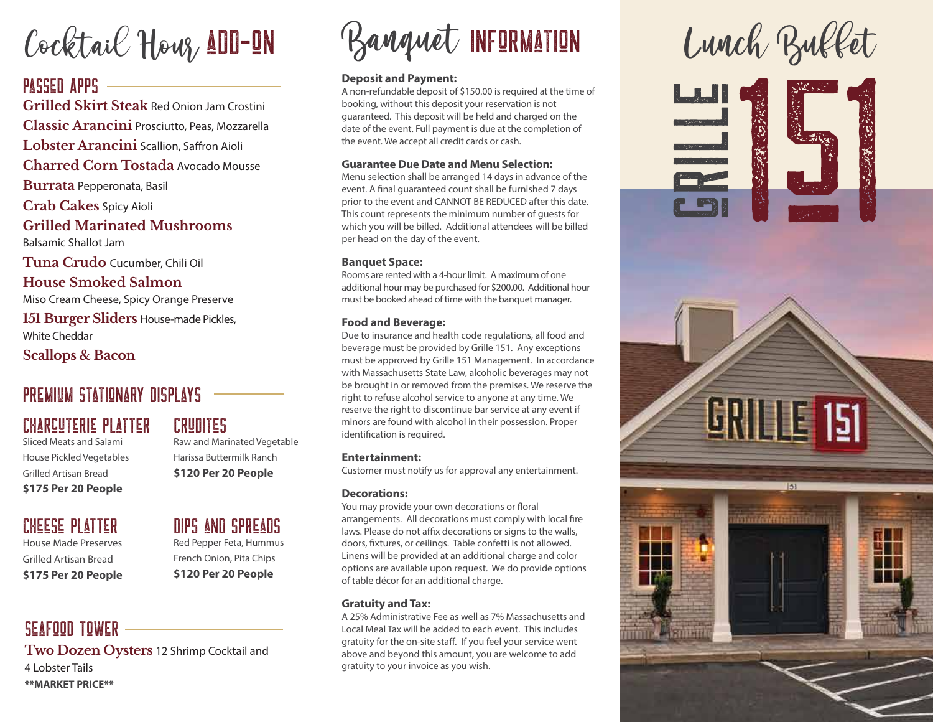Cocktail Hour, ADD-ON

### PASSED APPS

**Grilled Skirt Steak** Red Onion Jam Crostini **Classic Arancini** Prosciutto, Peas, Mozzarella Lobster Arancini Scallion, Saffron Aioli **Charred Corn Tostada** Avocado Mousse **Burrata** Pepperonata, Basil **Crab Cakes** Spicy Aioli **Grilled Marinated Mushrooms** 

Balsamic Shallot Jam

**Tuna Crudo** Cucumber, Chili Oil

**House Smoked Salmon** Miso Cream Cheese, Spicy Orange Preserve

**151 Burger Sliders** House-made Pickles, White Cheddar

**Scallops & Bacon**

### PREMIUM STATIONARY DISPI AYS

### Charcuterie Platter

Sliced Meats and Salami House Pickled Vegetables Grilled Artisan Bread **\$175 Per 20 People**

### Cheese Platter

House Made Preserves Grilled Artisan Bread **\$175 Per 20 People**

### Seafood Tower **Two Dozen Oysters** 12 Shrimp Cocktail and 4 Lobster Tails **\*\*MARKET PRICE\*\***

### Crudites

Raw and Marinated Vegetable Harissa Buttermilk Ranch **\$120 Per 20 People**

Dips and Spreads Red Pepper Feta, Hummus French Onion, Pita Chips **\$120 Per 20 People**

# Banquet INFORMATION Lunch Buffet

#### **Deposit and Payment:**

A non-refundable deposit of \$150.00 is required at the time of booking, without this deposit your reservation is not guaranteed. This deposit will be held and charged on the date of the event. Full payment is due at the completion of the event. We accept all credit cards or cash.

#### **Guarantee Due Date and Menu Selection:**

Menu selection shall be arranged 14 days in advance of the event. A final guaranteed count shall be furnished 7 days prior to the event and CANNOT BE REDUCED after this date. This count represents the minimum number of guests for which you will be billed. Additional attendees will be billed per head on the day of the event.

#### **Banquet Space:**

Rooms are rented with a 4-hour limit. A maximum of one additional hour may be purchased for \$200.00. Additional hour must be booked ahead of time with the banquet manager.

#### **Food and Beverage:**

Due to insurance and health code regulations, all food and beverage must be provided by Grille 151. Any exceptions must be approved by Grille 151 Management. In accordance with Massachusetts State Law, alcoholic beverages may not be brought in or removed from the premises. We reserve the right to refuse alcohol service to anyone at any time. We reserve the right to discontinue bar service at any event if minors are found with alcohol in their possession. Proper identification is required.

#### **Entertainment:**

Customer must notify us for approval any entertainment.

#### **Decorations:**

You may provide your own decorations or floral arrangements. All decorations must comply with local fire laws. Please do not affix decorations or signs to the walls, doors, fixtures, or ceilings. Table confetti is not allowed. Linens will be provided at an additional charge and color options are available upon request. We do provide options of table décor for an additional charge.

#### **Gratuity and Tax:**

A 25% Administrative Fee as well as 7% Massachusetts and Local Meal Tax will be added to each event. This includes gratuity for the on-site staff. If you feel your service went above and beyond this amount, you are welcome to add gratuity to your invoice as you wish.